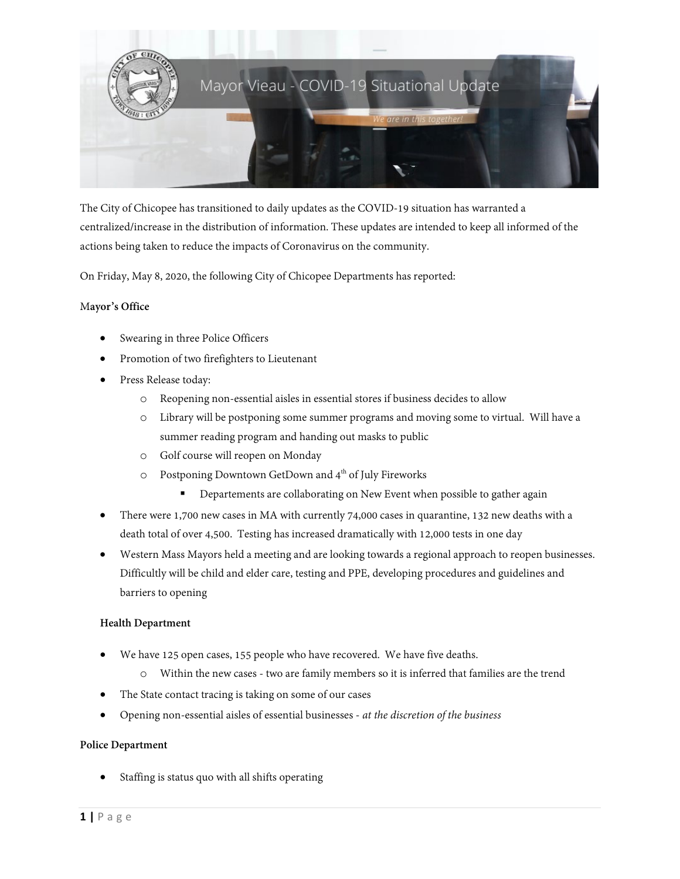

The City of Chicopee has transitioned to daily updates as the COVID-19 situation has warranted a centralized/increase in the distribution of information. These updates are intended to keep all informed of the actions being taken to reduce the impacts of Coronavirus on the community.

On Friday, May 8, 2020, the following City of Chicopee Departments has reported:

#### M**ayor's Office**

- Swearing in three Police Officers
- Promotion of two firefighters to Lieutenant
- Press Release today:
	- o Reopening non-essential aisles in essential stores if business decides to allow
	- o Library will be postponing some summer programs and moving some to virtual. Will have a summer reading program and handing out masks to public
	- o Golf course will reopen on Monday
	- o Postponing Downtown GetDown and 4<sup>th</sup> of July Fireworks
		- **•** Departements are collaborating on New Event when possible to gather again
- There were 1,700 new cases in MA with currently 74,000 cases in quarantine, 132 new deaths with a death total of over 4,500. Testing has increased dramatically with 12,000 tests in one day
- Western Mass Mayors held a meeting and are looking towards a regional approach to reopen businesses. Difficultly will be child and elder care, testing and PPE, developing procedures and guidelines and barriers to opening

#### **Health Department**

- We have 125 open cases, 155 people who have recovered. We have five deaths.
	- o Within the new cases two are family members so it is inferred that families are the trend
- The State contact tracing is taking on some of our cases
- Opening non-essential aisles of essential businesses *at the discretion of the business*

#### **Police Department**

• Staffing is status quo with all shifts operating